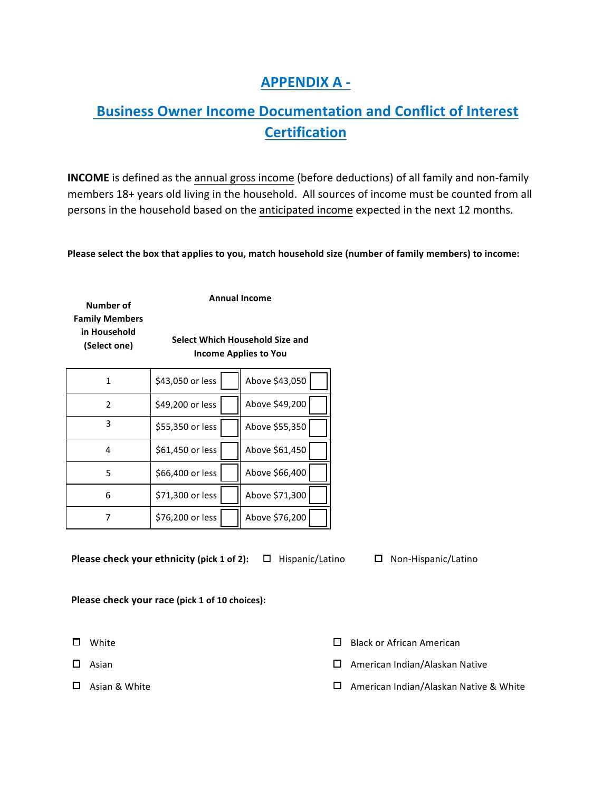## **APPENDIX A -**

## **Business Owner Income Documentation and Conflict of Interest Certification**

**INCOME** is defined as the annual gross income (before deductions) of all family and non-family members 18+ years old living in the household. All sources of income must be counted from all persons in the household based on the anticipated income expected in the next 12 months.

**Please select the box that applies to you, match household size (number of family members) to income:** 

**Number** of **Family Members in Household (Select one)**

**Annual Income** 

**Select Which Household Size and Income Applies to You**

|   | \$43,050 or less | Above \$43,050 |
|---|------------------|----------------|
| 2 | \$49,200 or less | Above \$49,200 |
| 3 | \$55,350 or less | Above \$55,350 |
| 4 | \$61,450 or less | Above \$61,450 |
| 5 | \$66,400 or less | Above \$66,400 |
| 6 | \$71,300 or less | Above \$71,300 |
|   | \$76,200 or less | Above \$76,200 |

**Please check your ethnicity (pick 1 of 2):** □ Hispanic/Latino □ Non-Hispanic/Latino

**Please check your race (pick 1 of 10 choices):** 

- 
- 

- $\square$  White  $\square$  Black or African American
- $\square$  Asian  $\square$  American Indian/Alaskan Native
- $\square$  Asian & White  $\square$  American Indian/Alaskan Native & White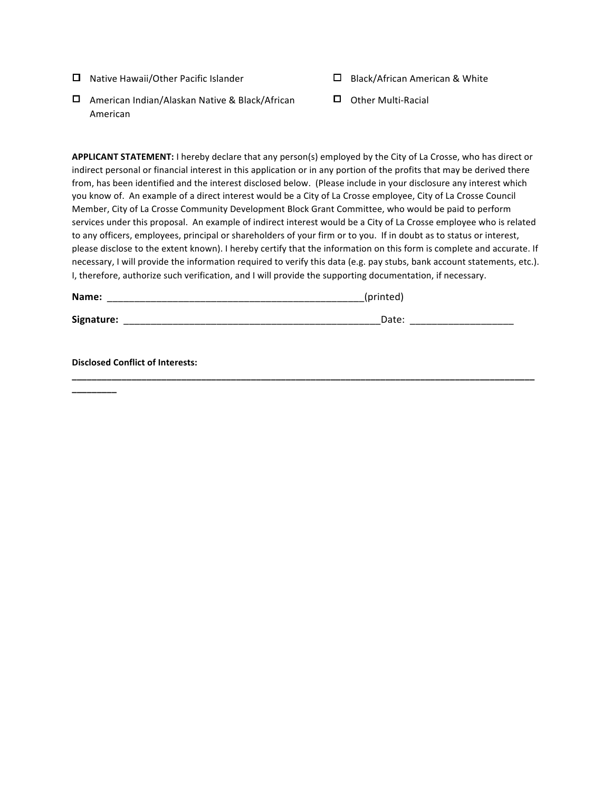- $\Box$  Native Hawaii/Other Pacific Islander  $\Box$  Black/African American & White
- $\Box$  American Indian/Alaskan Native & Black/African American
- 
- $\Box$  Other Multi-Racial

**APPLICANT STATEMENT:** I hereby declare that any person(s) employed by the City of La Crosse, who has direct or indirect personal or financial interest in this application or in any portion of the profits that may be derived there from, has been identified and the interest disclosed below. (Please include in your disclosure any interest which you know of. An example of a direct interest would be a City of La Crosse employee, City of La Crosse Council Member, City of La Crosse Community Development Block Grant Committee, who would be paid to perform services under this proposal. An example of indirect interest would be a City of La Crosse employee who is related to any officers, employees, principal or shareholders of your firm or to you. If in doubt as to status or interest, please disclose to the extent known). I hereby certify that the information on this form is complete and accurate. If necessary, I will provide the information required to verify this data (e.g. pay stubs, bank account statements, etc.). I, therefore, authorize such verification, and I will provide the supporting documentation, if necessary.

| Name:      | printed<br>____ |             |
|------------|-----------------|-------------|
| Signature: | Date:           | ______      |
| __         | ____            | ___________ |

**\_\_\_\_\_\_\_\_\_\_\_\_\_\_\_\_\_\_\_\_\_\_\_\_\_\_\_\_\_\_\_\_\_\_\_\_\_\_\_\_\_\_\_\_\_\_\_\_\_\_\_\_\_\_\_\_\_\_\_\_\_\_\_\_\_\_\_\_\_\_\_\_\_\_\_\_\_\_\_\_\_\_\_\_\_\_\_\_\_\_\_\_\_**

**Disclosed Conflict of Interests:** 

**\_\_\_\_\_\_\_\_\_**